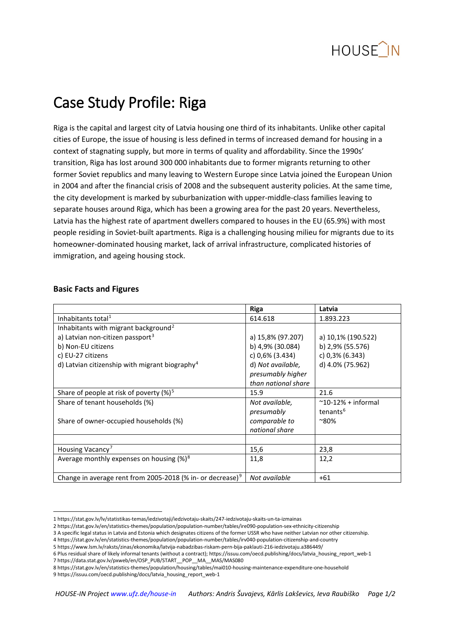

# Case Study Profile: Riga

Riga is the capital and largest city of Latvia housing one third of its inhabitants. Unlike other capital cities of Europe, the issue of housing is less defined in terms of increased demand for housing in a context of stagnating supply, but more in terms of quality and affordability. Since the 1990s' transition, Riga has lost around 300 000 inhabitants due to former migrants returning to other former Soviet republics and many leaving to Western Europe since Latvia joined the European Union in 2004 and after the financial crisis of 2008 and the subsequent austerity policies. At the same time, the city development is marked by suburbanization with upper-middle-class families leaving to separate houses around Riga, which has been a growing area for the past 20 years. Nevertheless, Latvia has the highest rate of apartment dwellers compared to houses in the EU (65.9%) with most people residing in Soviet-built apartments. Riga is a challenging housing milieu for migrants due to its homeowner-dominated housing market, lack of arrival infrastructure, complicated histories of immigration, and ageing housing stock.

|                                                                        | <b>Riga</b>         | Latvia                      |
|------------------------------------------------------------------------|---------------------|-----------------------------|
| Inhabitants total <sup>1</sup>                                         | 614.618             | 1.893.223                   |
| Inhabitants with migrant background <sup>2</sup>                       |                     |                             |
| a) Latvian non-citizen passport <sup>3</sup>                           | a) 15,8% (97.207)   | a) 10,1% (190.522)          |
| b) Non-EU citizens                                                     | b) 4,9% (30.084)    | b) 2,9% (55.576)            |
| c) EU-27 citizens                                                      | c) 0,6% (3.434)     | c) 0,3% (6.343)             |
| d) Latvian citizenship with migrant biography <sup>4</sup>             | d) Not available,   | d) 4.0% (75.962)            |
|                                                                        | presumably higher   |                             |
|                                                                        | than national share |                             |
| Share of people at risk of poverty $(\%)^5$                            | 15.9                | 21.6                        |
| Share of tenant households (%)                                         | Not available,      | $^{\sim}$ 10-12% + informal |
|                                                                        | presumably          | tenants <sup>6</sup>        |
| Share of owner-occupied households (%)                                 | comparable to       | $^{\sim}80\%$               |
|                                                                        | national share      |                             |
|                                                                        |                     |                             |
| Housing Vacancy <sup>7</sup>                                           | 15,6                | 23,8                        |
| Average monthly expenses on housing $(\%)^8$                           | 11,8                | 12,2                        |
|                                                                        |                     |                             |
| Change in average rent from 2005-2018 (% in- or decrease) <sup>9</sup> | Not available       | $+61$                       |

#### **Basic Facts and Figures**

- <span id="page-0-4"></span><span id="page-0-3"></span><span id="page-0-2"></span>4 https://stat.gov.lv/en/statistics-themes/population/population-number/tables/irv040-population-citizenship-and-country
- <span id="page-0-5"></span>5 <https://www.lsm.lv/raksts/zinas/ekonomika/latvija-nabadzibas-riskam-pern-bija-paklauti-216-iedzivotaju.a386449/>

- 8 <https://stat.gov.lv/en/statistics-themes/population/housing/tables/mai010-housing-maintenance-expenditure-one-household>
- <span id="page-0-8"></span><span id="page-0-7"></span>9 [https://issuu.com/oecd.publishing/docs/latvia\\_housing\\_report\\_web-1](https://issuu.com/oecd.publishing/docs/latvia_housing_report_web-1)

<span id="page-0-1"></span><span id="page-0-0"></span> <sup>1</sup> <https://stat.gov.lv/lv/statistikas-temas/iedzivotaji/iedzivotaju-skaits/247-iedzivotaju-skaits-un-ta-izmainas>

<sup>2</sup> <https://stat.gov.lv/en/statistics-themes/population/population-number/tables/ire090-population-sex-ethnicity-citizenship>

<sup>3</sup> A specific legal status in Latvia and Estonia which designates citizens of the former USSR who have neither Latvian nor other citizenship.

<sup>6</sup> Plus residual share of likely informal tenants (without a contract)[; https://issuu.com/oecd.publishing/docs/latvia\\_housing\\_report\\_web-1](https://issuu.com/oecd.publishing/docs/latvia_housing_report_web-1)

<span id="page-0-6"></span><sup>7</sup> [https://data.stat.gov.lv/pxweb/en/OSP\\_PUB/START\\_\\_POP\\_\\_MA\\_\\_MAS/MAS080](https://data.stat.gov.lv/pxweb/en/OSP_PUB/START__POP__MA__MAS/MAS080)